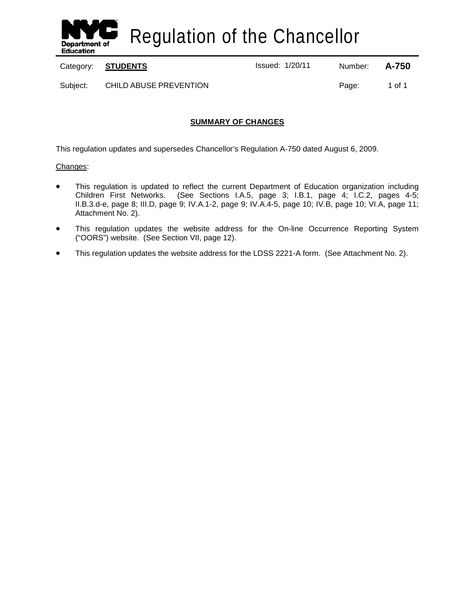

Regulation of the Chancellor

Category: **STUDENTS ISSUE 2014** Issued: 1/20/11 Number: **A-750** 

Subject: CHILD ABUSE PREVENTION **Page:** 1 of 1

## **SUMMARY OF CHANGES**

This regulation updates and supersedes Chancellor's Regulation A-750 dated August 6, 2009.

### Changes:

- This regulation is updated to reflect the current Department of Education organization including Children First Networks. (See Sections I.A.5, page 3; I.B.1, page 4; I.C.2, pages 4-5; II.B.3.d-e, page 8; III.D, page 9; IV.A.1-2, page 9; IV.A.4-5, page 10; IV.B, page 10; VI.A, page 11; Attachment No. 2).
- This regulation updates the website address for the On-line Occurrence Reporting System ("OORS") website. (See Section VII, page 12).
- This regulation updates the website address for the LDSS 2221-A form. (See Attachment No. 2).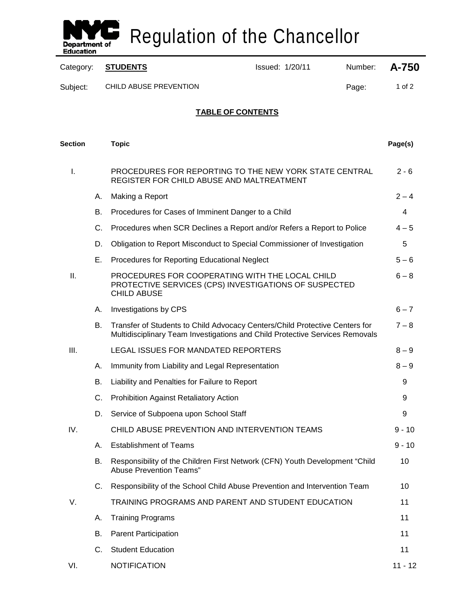

Regulation of the Chancellor

| Category:      |    | <b>STUDENTS</b>                                                                                                                                             | Issued: 1/20/11<br>Number: |       | A-750     |
|----------------|----|-------------------------------------------------------------------------------------------------------------------------------------------------------------|----------------------------|-------|-----------|
| Subject:       |    | CHILD ABUSE PREVENTION                                                                                                                                      |                            | Page: | 1 of $2$  |
|                |    |                                                                                                                                                             | <b>TABLE OF CONTENTS</b>   |       |           |
| <b>Section</b> |    | <b>Topic</b>                                                                                                                                                |                            |       | Page(s)   |
| I.             |    | PROCEDURES FOR REPORTING TO THE NEW YORK STATE CENTRAL<br>REGISTER FOR CHILD ABUSE AND MALTREATMENT                                                         |                            |       | $2 - 6$   |
|                | А. | Making a Report                                                                                                                                             |                            |       | $2 - 4$   |
|                | В. | Procedures for Cases of Imminent Danger to a Child                                                                                                          |                            |       | 4         |
|                | C. | Procedures when SCR Declines a Report and/or Refers a Report to Police                                                                                      |                            |       | $4 - 5$   |
|                | D. | Obligation to Report Misconduct to Special Commissioner of Investigation                                                                                    |                            |       | 5         |
|                | Е. | Procedures for Reporting Educational Neglect                                                                                                                |                            |       | $5-6$     |
| ΙΙ.            |    | PROCEDURES FOR COOPERATING WITH THE LOCAL CHILD<br>PROTECTIVE SERVICES (CPS) INVESTIGATIONS OF SUSPECTED<br><b>CHILD ABUSE</b>                              |                            |       | $6 - 8$   |
|                | А. | Investigations by CPS                                                                                                                                       |                            |       | $6 - 7$   |
|                | В. | Transfer of Students to Child Advocacy Centers/Child Protective Centers for<br>Multidisciplinary Team Investigations and Child Protective Services Removals |                            |       | $7 - 8$   |
| III.           |    | LEGAL ISSUES FOR MANDATED REPORTERS                                                                                                                         |                            |       | $8 - 9$   |
|                | А. | Immunity from Liability and Legal Representation                                                                                                            |                            |       | $8 - 9$   |
|                | В. | Liability and Penalties for Failure to Report                                                                                                               |                            |       | 9         |
|                | C. | <b>Prohibition Against Retaliatory Action</b>                                                                                                               |                            |       | 9         |
|                | D. | Service of Subpoena upon School Staff                                                                                                                       |                            |       | 9         |
| IV.            |    | CHILD ABUSE PREVENTION AND INTERVENTION TEAMS                                                                                                               |                            |       | $9 - 10$  |
|                | А. | <b>Establishment of Teams</b>                                                                                                                               |                            |       | $9 - 10$  |
|                | В. | Responsibility of the Children First Network (CFN) Youth Development "Child<br>Abuse Prevention Teams"                                                      |                            |       | 10        |
|                | C. | Responsibility of the School Child Abuse Prevention and Intervention Team                                                                                   |                            |       | 10        |
| V.             |    | TRAINING PROGRAMS AND PARENT AND STUDENT EDUCATION                                                                                                          |                            |       | 11        |
|                | А. | <b>Training Programs</b>                                                                                                                                    |                            |       | 11        |
|                | В. | <b>Parent Participation</b>                                                                                                                                 |                            |       | 11        |
|                | C. | <b>Student Education</b>                                                                                                                                    |                            |       | 11        |
| VI.            |    | <b>NOTIFICATION</b>                                                                                                                                         |                            |       | $11 - 12$ |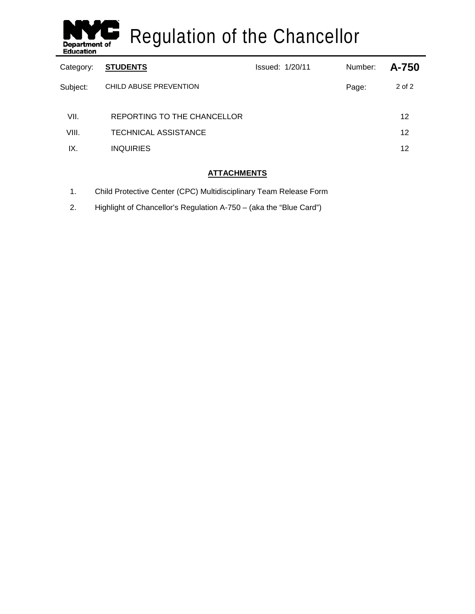

Regulation of the Chancellor

| Category: | <b>STUDENTS</b>             | <b>Issued: 1/20/11</b> | Number: | A-750  |
|-----------|-----------------------------|------------------------|---------|--------|
| Subject:  | CHILD ABUSE PREVENTION      |                        | Page:   | 2 of 2 |
| VII.      | REPORTING TO THE CHANCELLOR |                        |         | 12     |
| VIII.     | <b>TECHNICAL ASSISTANCE</b> |                        |         | 12     |
| IX.       | <b>INQUIRIES</b>            |                        |         | 12     |

## **ATTACHMENTS**

- 1. Child Protective Center (CPC) Multidisciplinary Team Release Form
- 2. Highlight of Chancellor's Regulation A-750 (aka the "Blue Card")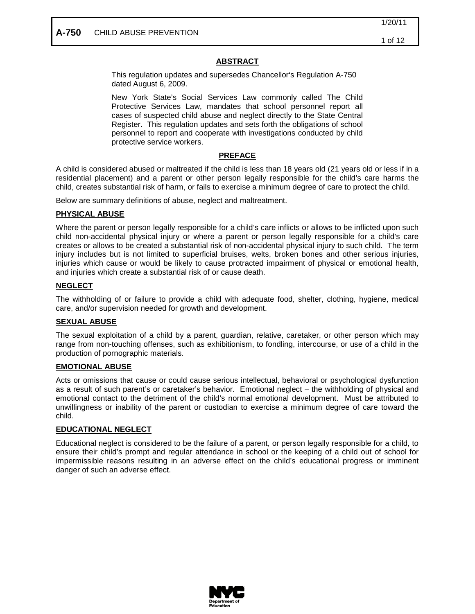## **ABSTRACT**

This regulation updates and supersedes Chancellor's Regulation A-750 dated August 6, 2009.

New York State's Social Services Law commonly called The Child Protective Services Law, mandates that school personnel report all cases of suspected child abuse and neglect directly to the State Central Register. This regulation updates and sets forth the obligations of school personnel to report and cooperate with investigations conducted by child protective service workers.

## **PREFACE**

A child is considered abused or maltreated if the child is less than 18 years old (21 years old or less if in a residential placement) and a parent or other person legally responsible for the child's care harms the child, creates substantial risk of harm, or fails to exercise a minimum degree of care to protect the child.

Below are summary definitions of abuse, neglect and maltreatment.

## **PHYSICAL ABUSE**

Where the parent or person legally responsible for a child's care inflicts or allows to be inflicted upon such child non-accidental physical injury or where a parent or person legally responsible for a child's care creates or allows to be created a substantial risk of non-accidental physical injury to such child. The term injury includes but is not limited to superficial bruises, welts, broken bones and other serious injuries, injuries which cause or would be likely to cause protracted impairment of physical or emotional health, and injuries which create a substantial risk of or cause death.

## **NEGLECT**

The withholding of or failure to provide a child with adequate food, shelter, clothing, hygiene, medical care, and/or supervision needed for growth and development.

## **SEXUAL ABUSE**

The sexual exploitation of a child by a parent, guardian, relative, caretaker, or other person which may range from non-touching offenses, such as exhibitionism, to fondling, intercourse, or use of a child in the production of pornographic materials.

### **EMOTIONAL ABUSE**

Acts or omissions that cause or could cause serious intellectual, behavioral or psychological dysfunction as a result of such parent's or caretaker's behavior. Emotional neglect – the withholding of physical and emotional contact to the detriment of the child's normal emotional development. Must be attributed to unwillingness or inability of the parent or custodian to exercise a minimum degree of care toward the child.

### **EDUCATIONAL NEGLECT**

Educational neglect is considered to be the failure of a parent, or person legally responsible for a child, to ensure their child's prompt and regular attendance in school or the keeping of a child out of school for impermissible reasons resulting in an adverse effect on the child's educational progress or imminent danger of such an adverse effect.

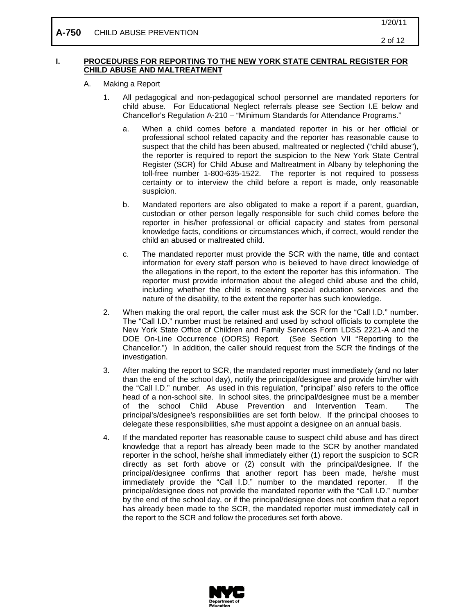#### **I. PROCEDURES FOR REPORTING TO THE NEW YORK STATE CENTRAL REGISTER FOR CHILD ABUSE AND MALTREATMENT**

- A. Making a Report
	- 1. All pedagogical and non-pedagogical school personnel are mandated reporters for child abuse. For Educational Neglect referrals please see Section I.E below and Chancellor's Regulation A-210 – "Minimum Standards for Attendance Programs."
		- a. When a child comes before a mandated reporter in his or her official or professional school related capacity and the reporter has reasonable cause to suspect that the child has been abused, maltreated or neglected ("child abuse"), the reporter is required to report the suspicion to the New York State Central Register (SCR) for Child Abuse and Maltreatment in Albany by telephoning the toll-free number 1-800-635-1522. The reporter is not required to possess certainty or to interview the child before a report is made, only reasonable suspicion.
		- b. Mandated reporters are also obligated to make a report if a parent, guardian, custodian or other person legally responsible for such child comes before the reporter in his/her professional or official capacity and states from personal knowledge facts, conditions or circumstances which, if correct, would render the child an abused or maltreated child.
		- c. The mandated reporter must provide the SCR with the name, title and contact information for every staff person who is believed to have direct knowledge of the allegations in the report, to the extent the reporter has this information. The reporter must provide information about the alleged child abuse and the child, including whether the child is receiving special education services and the nature of the disability, to the extent the reporter has such knowledge.
	- 2. When making the oral report, the caller must ask the SCR for the "Call I.D." number. The "Call I.D." number must be retained and used by school officials to complete the New York State Office of Children and Family Services Form LDSS 2221-A and the DOE On-Line Occurrence (OORS) Report. (See Section VII "Reporting to the Chancellor.") In addition, the caller should request from the SCR the findings of the investigation.
	- 3. After making the report to SCR, the mandated reporter must immediately (and no later than the end of the school day), notify the principal/designee and provide him/her with the "Call I.D." number. As used in this regulation, "principal" also refers to the office head of a non-school site. In school sites, the principal/designee must be a member of the school Child Abuse Prevention and Intervention Team. The principal's/designee's responsibilities are set forth below. If the principal chooses to delegate these responsibilities, s/he must appoint a designee on an annual basis.
	- 4. If the mandated reporter has reasonable cause to suspect child abuse and has direct knowledge that a report has already been made to the SCR by another mandated reporter in the school, he/she shall immediately either (1) report the suspicion to SCR directly as set forth above or (2) consult with the principal/designee. If the principal/designee confirms that another report has been made, he/she must immediately provide the "Call I.D." number to the mandated reporter. If the principal/designee does not provide the mandated reporter with the "Call I.D." number by the end of the school day, or if the principal/designee does not confirm that a report has already been made to the SCR, the mandated reporter must immediately call in the report to the SCR and follow the procedures set forth above.

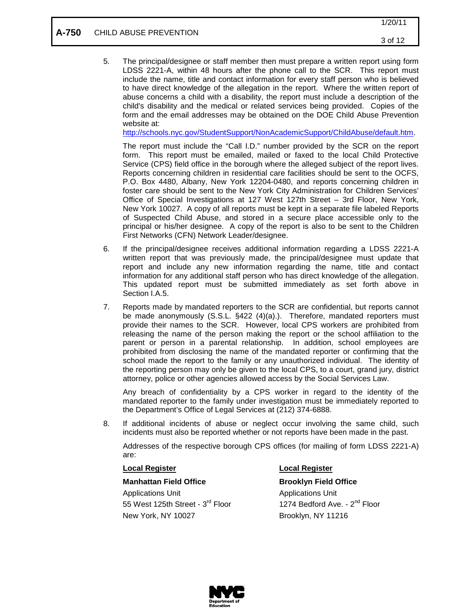5. The principal/designee or staff member then must prepare a written report using form LDSS 2221-A, within 48 hours after the phone call to the SCR. This report must include the name, title and contact information for every staff person who is believed to have direct knowledge of the allegation in the report. Where the written report of abuse concerns a child with a disability, the report must include a description of the child's disability and the medical or related services being provided. Copies of the form and the email addresses may be obtained on the DOE Child Abuse Prevention website at:

[http://schools.nyc.gov/StudentSupport/NonAcademicSupport/ChildAbuse/default.htm.](http://schools.nyc.gov/StudentSupport/NonAcademicSupport/ChildAbuse/default.htm)

The report must include the "Call I.D." number provided by the SCR on the report form. This report must be emailed, mailed or faxed to the local Child Protective Service (CPS) field office in the borough where the alleged subject of the report lives. Reports concerning children in residential care facilities should be sent to the OCFS, P.O. Box 4480, Albany, New York 12204-0480, and reports concerning children in foster care should be sent to the New York City Administration for Children Services' Office of Special Investigations at 127 West 127th Street – 3rd Floor, New York, New York 10027. A copy of all reports must be kept in a separate file labeled Reports of Suspected Child Abuse, and stored in a secure place accessible only to the principal or his/her designee. A copy of the report is also to be sent to the Children First Networks (CFN) Network Leader/designee.

- 6. If the principal/designee receives additional information regarding a LDSS 2221-A written report that was previously made, the principal/designee must update that report and include any new information regarding the name, title and contact information for any additional staff person who has direct knowledge of the allegation. This updated report must be submitted immediately as set forth above in Section I.A.5.
- 7. Reports made by mandated reporters to the SCR are confidential, but reports cannot be made anonymously (S.S.L. §422 (4)(a).). Therefore, mandated reporters must provide their names to the SCR. However, local CPS workers are prohibited from releasing the name of the person making the report or the school affiliation to the parent or person in a parental relationship. In addition, school employees are prohibited from disclosing the name of the mandated reporter or confirming that the school made the report to the family or any unauthorized individual. The identity of the reporting person may only be given to the local CPS, to a court, grand jury, district attorney, police or other agencies allowed access by the Social Services Law.

Any breach of confidentiality by a CPS worker in regard to the identity of the mandated reporter to the family under investigation must be immediately reported to the Department's Office of Legal Services at (212) 374-6888.

8. If additional incidents of abuse or neglect occur involving the same child, such incidents must also be reported whether or not reports have been made in the past.

Addresses of the respective borough CPS offices (for mailing of form LDSS 2221-A) are:

### **Local Register**

### **Manhattan Field Office <b>Brooklyn Field Office**

Applications Unit **Applications** Unit 55 West 125th Street - 3<sup>rd</sup> Floor 1274 Bedford Ave. - 2<sup>nd</sup> Floor New York, NY 10027 Brooklyn, NY 11216

### **Local Register**

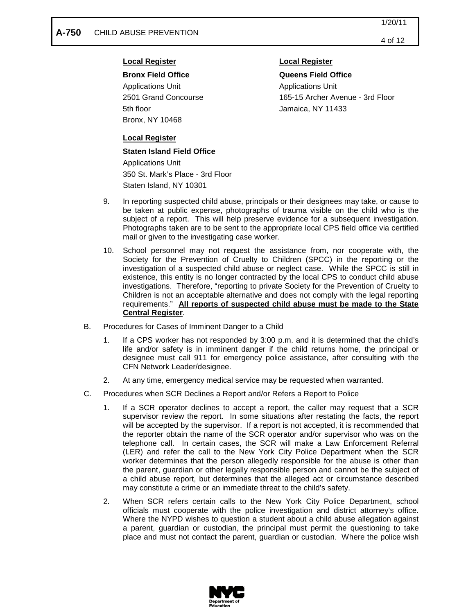Applications Unit Applications Unit 5th floor Jamaica, NY 11433 Bronx, NY 10468

## **Local Register**

**Bronx Field Office Queens Field Office** 2501 Grand Concourse 165-15 Archer Avenue - 3rd Floor

## **Local Register**

### **Staten Island Field Office**

Applications Unit 350 St. Mark's Place - 3rd Floor Staten Island, NY 10301

- 9. In reporting suspected child abuse, principals or their designees may take, or cause to be taken at public expense, photographs of trauma visible on the child who is the subject of a report. This will help preserve evidence for a subsequent investigation. Photographs taken are to be sent to the appropriate local CPS field office via certified mail or given to the investigating case worker.
- 10. School personnel may not request the assistance from, nor cooperate with, the Society for the Prevention of Cruelty to Children (SPCC) in the reporting or the investigation of a suspected child abuse or neglect case. While the SPCC is still in existence, this entity is no longer contracted by the local CPS to conduct child abuse investigations. Therefore, "reporting to private Society for the Prevention of Cruelty to Children is not an acceptable alternative and does not comply with the legal reporting requirements." **All reports of suspected child abuse must be made to the State Central Register** .
- B. Procedures for Cases of Imminent Danger to a Child
	- 1. If a CPS worker has not responded by 3:00 p.m. and it is determined that the child's life and/or safety is in imminent danger if the child returns home, the principal or designee must call 911 for emergency police assistance, after consulting with the CFN Network Leader/designee.
	- 2. At any time, emergency medical service may be requested when warranted.
- C. Procedures when SCR Declines a Report and/or Refers a Report to Police
	- 1. If a SCR operator declines to accept a report, the caller may request that a SCR supervisor review the report. In some situations after restating the facts, the report will be accepted by the supervisor. If a report is not accepted, it is recommended that the reporter obtain the name of the SCR operator and/or supervisor who was on the telephone call. In certain cases, the SCR will make a Law Enforcement Referral (LER) and refer the call to the New York City Police Department when the SCR worker determines that the person allegedly responsible for the abuse is other than the parent, guardian or other legally responsible person and cannot be the subject of a child abuse report, but determines that the alleged act or circumstance described may constitute a crime or an immediate threat to the child's safety.
	- 2. When SCR refers certain calls to the New York City Police Department, school officials must cooperate with the police investigation and district attorney's office. Where the NYPD wishes to question a student about a child abuse allegation against a parent, guardian or custodian, the principal must permit the questioning to take place and must not contact the parent, guardian or custodian. Where the police wish

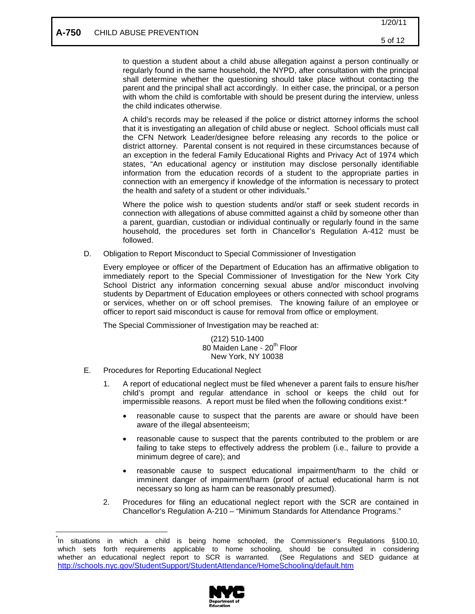to question a student about a child abuse allegation against a person continually or regularly found in the same household, the NYPD, after consultation with the principal shall determine whether the questioning should take place without contacting the parent and the principal shall act accordingly. In either case, the principal, or a person with whom the child is comfortable with should be present during the interview, unless the child indicates otherwise.

A child's records may be released if the police or district attorney informs the school that it is investigating an allegation of child abuse or neglect. School officials must call the CFN Network Leader/designee before releasing any records to the police or district attorney. Parental consent is not required in these circumstances because of an exception in the federal Family Educational Rights and Privacy Act of 1974 which states, "An educational agency or institution may disclose personally identifiable information from the education records of a student to the appropriate parties in connection with an emergency if knowledge of the information is necessary to protect the health and safety of a student or other individuals."

Where the police wish to question students and/or staff or seek student records in connection with allegations of abuse committed against a child by someone other than a parent, guardian, custodian or individual continually or regularly found in the same household, the procedures set forth in Chancellor's Regulation A-412 must be followed.

D. Obligation to Report Misconduct to Special Commissioner of Investigation

Every employee or officer of the Department of Education has an affirmative obligation to immediately report to the Special Commissioner of Investigation for the New York City School District any information concerning sexual abuse and/or misconduct involving students by Department of Education employees or others connected with school programs or services, whether on or off school premises. The knowing failure of an employee or officer to report said misconduct is cause for removal from office or employment.

The Special Commissioner of Investigation may be reached at:

(212) 510-1400 80 Maiden Lane - 20<sup>th</sup> Floor New York, NY 10038

- E. Procedures for Reporting Educational Neglect
	- 1. A report of educational neglect must be filed whenever a parent fails to ensure his/her child's prompt and regular attendance in school or keeps the child out for impermissible reasons. A report must be filed when the following conditions exist:[\\*](#page-7-0)
		- reasonable cause to suspect that the parents are aware or should have been aware of the illegal absenteeism;
		- reasonable cause to suspect that the parents contributed to the problem or are failing to take steps to effectively address the problem (i.e., failure to provide a minimum degree of care); and
		- reasonable cause to suspect educational impairment/harm to the child or imminent danger of impairment/harm (proof of actual educational harm is not necessary so long as harm can be reasonably presumed).
	- 2. Procedures for filing an educational neglect report with the SCR are contained in Chancellor's Regulation A-210 – "Minimum Standards for Attendance Programs."

<span id="page-7-0"></span> <sup>\*</sup> In situations in which a child is being home schooled, the Commissioner's Regulations §100.10, which sets forth requirements applicable to home schooling, should be consulted in considering whether an educational neglect report to SCR is warranted. (See Regulations and SED guidance at <http://schools.nyc.gov/StudentSupport/StudentAttendance/HomeSchooling/default.htm>

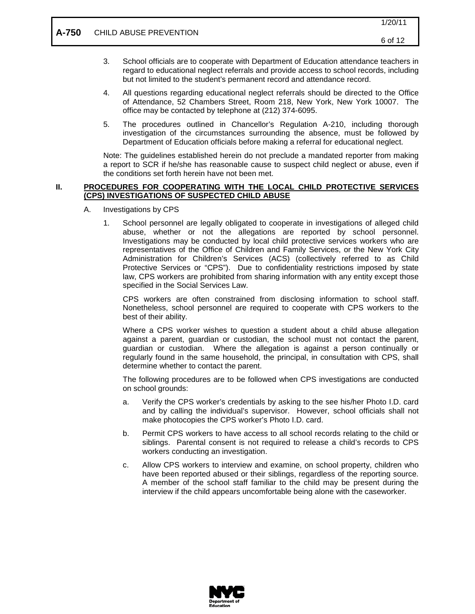- 3. School officials are to cooperate with Department of Education attendance teachers in regard to educational neglect referrals and provide access to school records, including but not limited to the student's permanent record and attendance record.
- 4. All questions regarding educational neglect referrals should be directed to the Office of Attendance, 52 Chambers Street, Room 218, New York, New York 10007. The office may be contacted by telephone at (212) 374-6095.
- 5. The procedures outlined in Chancellor's Regulation A-210, including thorough investigation of the circumstances surrounding the absence, must be followed by Department of Education officials before making a referral for educational neglect.

Note: The guidelines established herein do not preclude a mandated reporter from making a report to SCR if he/she has reasonable cause to suspect child neglect or abuse, even if the conditions set forth herein have not been met.

#### **II. PROCEDURES FOR COOPERATING WITH THE LOCAL CHILD PROTECTIVE SERVICES (CPS) INVESTIGATIONS OF SUSPECTED CHILD ABUSE**

- A. Investigations by CPS
	- 1. School personnel are legally obligated to cooperate in investigations of alleged child abuse, whether or not the allegations are reported by school personnel. Investigations may be conducted by local child protective services workers who are representatives of the Office of Children and Family Services, or the New York City Administration for Children's Services (ACS) (collectively referred to as Child Protective Services or "CPS"). Due to confidentiality restrictions imposed by state law, CPS workers are prohibited from sharing information with any entity except those specified in the Social Services Law.

CPS workers are often constrained from disclosing information to school staff. Nonetheless, school personnel are required to cooperate with CPS workers to the best of their ability.

Where a CPS worker wishes to question a student about a child abuse allegation against a parent, guardian or custodian, the school must not contact the parent, guardian or custodian. Where the allegation is against a person continually or regularly found in the same household, the principal, in consultation with CPS, shall determine whether to contact the parent.

The following procedures are to be followed when CPS investigations are conducted on school grounds:

- a. Verify the CPS worker's credentials by asking to the see his/her Photo I.D. card and by calling the individual's supervisor. However, school officials shall not make photocopies the CPS worker's Photo I.D. card.
- b. Permit CPS workers to have access to all school records relating to the child or siblings. Parental consent is not required to release a child's records to CPS workers conducting an investigation.
- c. Allow CPS workers to interview and examine, on school property, children who have been reported abused or their siblings, regardless of the reporting source. A member of the school staff familiar to the child may be present during the interview if the child appears uncomfortable being alone with the caseworker.

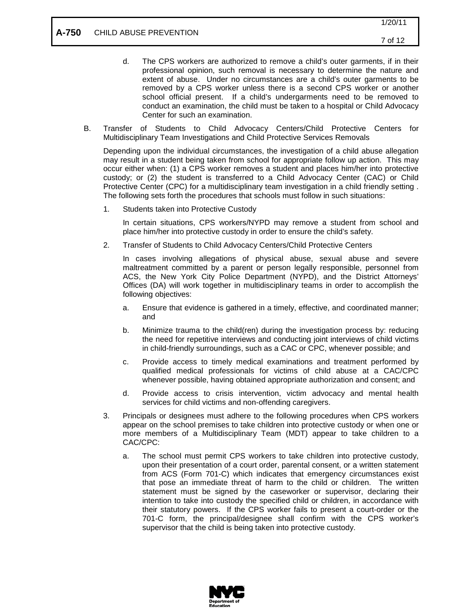- d. The CPS workers are authorized to remove a child's outer garments, if in their professional opinion, such removal is necessary to determine the nature and extent of abuse. Under no circumstances are a child's outer garments to be removed by a CPS worker unless there is a second CPS worker or another school official present. If a child's undergarments need to be removed to conduct an examination, the child must be taken to a hospital or Child Advocacy Center for such an examination.
- B. Transfer of Students to Child Advocacy Centers/Child Protective Centers for Multidisciplinary Team Investigations and Child Protective Services Removals

Depending upon the individual circumstances, the investigation of a child abuse allegation may result in a student being taken from school for appropriate follow up action. This may occur either when: (1) a CPS worker removes a student and places him/her into protective custody; or (2) the student is transferred to a Child Advocacy Center (CAC) or Child Protective Center (CPC) for a multidisciplinary team investigation in a child friendly setting . The following sets forth the procedures that schools must follow in such situations:

1. Students taken into Protective Custody

In certain situations, CPS workers/NYPD may remove a student from school and place him/her into protective custody in order to ensure the child's safety.

2. Transfer of Students to Child Advocacy Centers/Child Protective Centers

In cases involving allegations of physical abuse, sexual abuse and severe maltreatment committed by a parent or person legally responsible, personnel from ACS, the New York City Police Department (NYPD), and the District Attorneys' Offices (DA) will work together in multidisciplinary teams in order to accomplish the following objectives:

- a. Ensure that evidence is gathered in a timely, effective, and coordinated manner; and
- b. Minimize trauma to the child(ren) during the investigation process by: reducing the need for repetitive interviews and conducting joint interviews of child victims in child-friendly surroundings, such as a CAC or CPC, whenever possible; and
- c. Provide access to timely medical examinations and treatment performed by qualified medical professionals for victims of child abuse at a CAC/CPC whenever possible, having obtained appropriate authorization and consent; and
- d. Provide access to crisis intervention, victim advocacy and mental health services for child victims and non-offending caregivers.
- 3. Principals or designees must adhere to the following procedures when CPS workers appear on the school premises to take children into protective custody or when one or more members of a Multidisciplinary Team (MDT) appear to take children to a CAC/CPC:
	- a. The school must permit CPS workers to take children into protective custody, upon their presentation of a court order, parental consent, or a written statement from ACS (Form 701-C) which indicates that emergency circumstances exist that pose an immediate threat of harm to the child or children. The written statement must be signed by the caseworker or supervisor, declaring their intention to take into custody the specified child or children, in accordance with their statutory powers. If the CPS worker fails to present a court-order or the 701-C form, the principal/designee shall confirm with the CPS worker's supervisor that the child is being taken into protective custody.

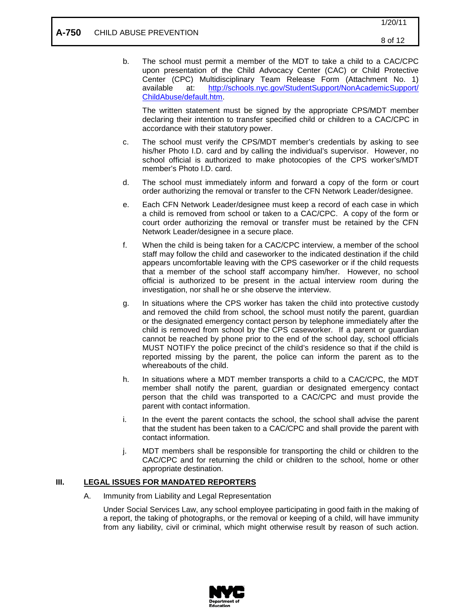b. The school must permit a member of the MDT to take a child to a CAC/CPC upon presentation of the Child Advocacy Center (CAC) or Child Protective Center (CPC) Multidisciplinary Team Release Form (Attachment No. 1) available at: [http://schools.nyc.gov/StudentSupport/NonAcademicSupport/](http://schools.nyc.gov/StudentSupport/NonAcademicSupport/ChildAbuse/default.htm) [ChildAbuse/default.htm.](http://schools.nyc.gov/StudentSupport/NonAcademicSupport/ChildAbuse/default.htm)

The written statement must be signed by the appropriate CPS/MDT member declaring their intention to transfer specified child or children to a CAC/CPC in accordance with their statutory power.

- c. The school must verify the CPS/MDT member's credentials by asking to see his/her Photo I.D. card and by calling the individual's supervisor. However, no school official is authorized to make photocopies of the CPS worker's/MDT member's Photo I.D. card.
- d. The school must immediately inform and forward a copy of the form or court order authorizing the removal or transfer to the CFN Network Leader/designee.
- e. Each CFN Network Leader/designee must keep a record of each case in which a child is removed from school or taken to a CAC/CPC. A copy of the form or court order authorizing the removal or transfer must be retained by the CFN Network Leader/designee in a secure place.
- f. When the child is being taken for a CAC/CPC interview, a member of the school staff may follow the child and caseworker to the indicated destination if the child appears uncomfortable leaving with the CPS caseworker or if the child requests that a member of the school staff accompany him/her. However, no school official is authorized to be present in the actual interview room during the investigation, nor shall he or she observe the interview.
- g. In situations where the CPS worker has taken the child into protective custody and removed the child from school, the school must notify the parent, guardian or the designated emergency contact person by telephone immediately after the child is removed from school by the CPS caseworker. If a parent or guardian cannot be reached by phone prior to the end of the school day, school officials MUST NOTIFY the police precinct of the child's residence so that if the child is reported missing by the parent, the police can inform the parent as to the whereabouts of the child.
- h. In situations where a MDT member transports a child to a CAC/CPC, the MDT member shall notify the parent, guardian or designated emergency contact person that the child was transported to a CAC/CPC and must provide the parent with contact information.
- i. In the event the parent contacts the school, the school shall advise the parent that the student has been taken to a CAC/CPC and shall provide the parent with contact information.
- j. MDT members shall be responsible for transporting the child or children to the CAC/CPC and for returning the child or children to the school, home or other appropriate destination.

#### **III. LEGAL ISSUES FOR MANDATED REPORTERS**

A. Immunity from Liability and Legal Representation

Under Social Services Law, any school employee participating in good faith in the making of a report, the taking of photographs, or the removal or keeping of a child, will have immunity from any liability, civil or criminal, which might otherwise result by reason of such action.

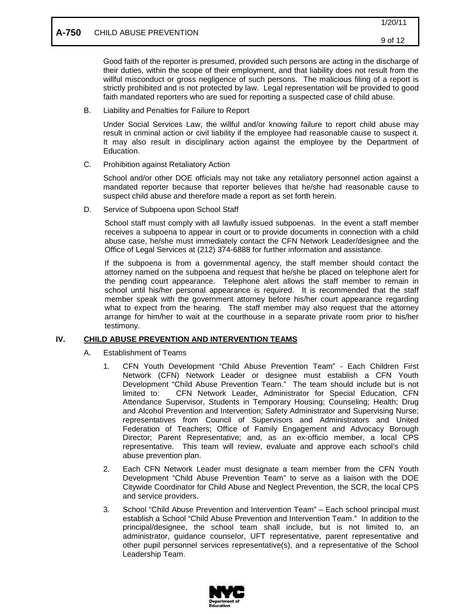## **A-750** CHILD ABUSE PREVENTION

Good faith of the reporter is presumed, provided such persons are acting in the discharge of their duties, within the scope of their employment, and that liability does not result from the willful misconduct or gross negligence of such persons. The malicious filing of a report is strictly prohibited and is not protected by law. Legal representation will be provided to good faith mandated reporters who are sued for reporting a suspected case of child abuse.

B. Liability and Penalties for Failure to Report

Under Social Services Law, the willful and/or knowing failure to report child abuse may result in criminal action or civil liability if the employee had reasonable cause to suspect it. It may also result in disciplinary action against the employee by the Department of Education.

C. Prohibition against Retaliatory Action

School and/or other DOE officials may not take any retaliatory personnel action against a mandated reporter because that reporter believes that he/she had reasonable cause to suspect child abuse and therefore made a report as set forth herein.

D. Service of Subpoena upon School Staff

School staff must comply with all lawfully issued subpoenas. In the event a staff member receives a subpoena to appear in court or to provide documents in connection with a child abuse case, he/she must immediately contact the CFN Network Leader/designee and the Office of Legal Services at (212) 374-6888 for further information and assistance.

If the subpoena is from a governmental agency, the staff member should contact the attorney named on the subpoena and request that he/she be placed on telephone alert for the pending court appearance. Telephone alert allows the staff member to remain in school until his/her personal appearance is required. It is recommended that the staff member speak with the government attorney before his/her court appearance regarding what to expect from the hearing. The staff member may also request that the attorney arrange for him/her to wait at the courthouse in a separate private room prior to his/her testimony.

#### **IV. CHILD ABUSE PREVENTION AND INTERVENTION TEAMS**

- A. Establishment of Teams
	- 1. CFN Youth Development "Child Abuse Prevention Team" Each Children First Network (CFN) Network Leader or designee must establish a CFN Youth Development "Child Abuse Prevention Team." The team should include but is not limited to: CFN Network Leader, Administrator for Special Education, CFN Attendance Supervisor, Students in Temporary Housing; Counseling; Health; Drug and Alcohol Prevention and Intervention; Safety Administrator and Supervising Nurse; representatives from Council of Supervisors and Administrators and United Federation of Teachers; Office of Family Engagement and Advocacy Borough Director; Parent Representative; and, as an ex-officio member, a local CPS representative. This team will review, evaluate and approve each school's child abuse prevention plan.
	- 2. Each CFN Network Leader must designate a team member from the CFN Youth Development "Child Abuse Prevention Team" to serve as a liaison with the DOE Citywide Coordinator for Child Abuse and Neglect Prevention, the SCR, the local CPS and service providers.
	- 3. School "Child Abuse Prevention and Intervention Team" Each school principal must establish a School "Child Abuse Prevention and Intervention Team." In addition to the principal/designee, the school team shall include, but is not limited to, an administrator, guidance counselor, UFT representative, parent representative and other pupil personnel services representative(s), and a representative of the School Leadership Team.

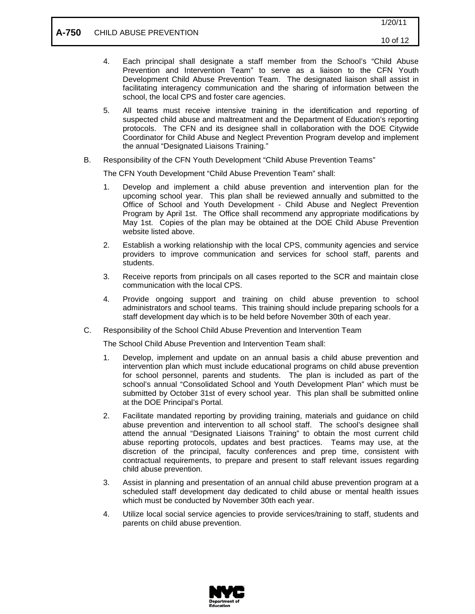- 4. Each principal shall designate a staff member from the School's "Child Abuse Prevention and Intervention Team" to serve as a liaison to the CFN Youth Development Child Abuse Prevention Team. The designated liaison shall assist in facilitating interagency communication and the sharing of information between the school, the local CPS and foster care agencies.
- 5. All teams must receive intensive training in the identification and reporting of suspected child abuse and maltreatment and the Department of Education's reporting protocols. The CFN and its designee shall in collaboration with the DOE Citywide Coordinator for Child Abuse and Neglect Prevention Program develop and implement the annual "Designated Liaisons Training."
- B. Responsibility of the CFN Youth Development "Child Abuse Prevention Teams"

The CFN Youth Development "Child Abuse Prevention Team" shall:

- 1. Develop and implement a child abuse prevention and intervention plan for the upcoming school year. This plan shall be reviewed annually and submitted to the Office of School and Youth Development - Child Abuse and Neglect Prevention Program by April 1st. The Office shall recommend any appropriate modifications by May 1st. Copies of the plan may be obtained at the DOE Child Abuse Prevention website listed above.
- 2. Establish a working relationship with the local CPS, community agencies and service providers to improve communication and services for school staff, parents and students.
- 3. Receive reports from principals on all cases reported to the SCR and maintain close communication with the local CPS.
- 4. Provide ongoing support and training on child abuse prevention to school administrators and school teams. This training should include preparing schools for a staff development day which is to be held before November 30th of each year.
- C. Responsibility of the School Child Abuse Prevention and Intervention Team

The School Child Abuse Prevention and Intervention Team shall:

- 1. Develop, implement and update on an annual basis a child abuse prevention and intervention plan which must include educational programs on child abuse prevention for school personnel, parents and students. The plan is included as part of the school's annual "Consolidated School and Youth Development Plan" which must be submitted by October 31st of every school year. This plan shall be submitted online at the DOE Principal's Portal.
- 2. Facilitate mandated reporting by providing training, materials and guidance on child abuse prevention and intervention to all school staff. The school's designee shall attend the annual "Designated Liaisons Training" to obtain the most current child abuse reporting protocols, updates and best practices. Teams may use, at the discretion of the principal, faculty conferences and prep time, consistent with contractual requirements, to prepare and present to staff relevant issues regarding child abuse prevention.
- 3. Assist in planning and presentation of an annual child abuse prevention program at a scheduled staff development day dedicated to child abuse or mental health issues which must be conducted by November 30th each year.
- 4. Utilize local social service agencies to provide services/training to staff, students and parents on child abuse prevention.

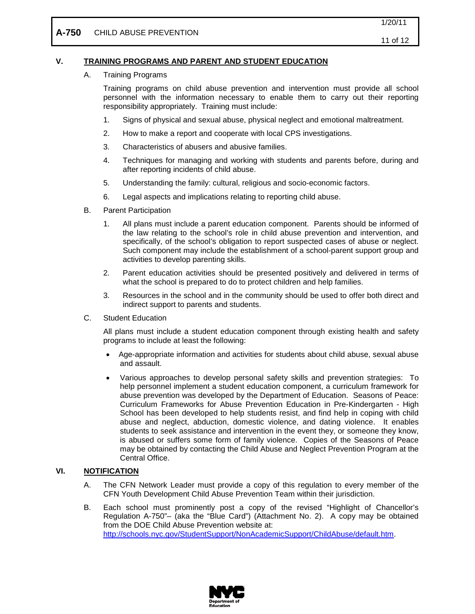#### **V. TRAINING PROGRAMS AND PARENT AND STUDENT EDUCATION**

A. Training Programs

Training programs on child abuse prevention and intervention must provide all school personnel with the information necessary to enable them to carry out their reporting responsibility appropriately. Training must include:

- 1. Signs of physical and sexual abuse, physical neglect and emotional maltreatment.
- 2. How to make a report and cooperate with local CPS investigations.
- 3. Characteristics of abusers and abusive families.
- 4. Techniques for managing and working with students and parents before, during and after reporting incidents of child abuse.
- 5. Understanding the family: cultural, religious and socio-economic factors.
- 6. Legal aspects and implications relating to reporting child abuse.
- B. Parent Participation
	- 1. All plans must include a parent education component. Parents should be informed of the law relating to the school's role in child abuse prevention and intervention, and specifically, of the school's obligation to report suspected cases of abuse or neglect. Such component may include the establishment of a school-parent support group and activities to develop parenting skills.
	- 2. Parent education activities should be presented positively and delivered in terms of what the school is prepared to do to protect children and help families.
	- 3. Resources in the school and in the community should be used to offer both direct and indirect support to parents and students.
- C. Student Education

All plans must include a student education component through existing health and safety programs to include at least the following:

- Age-appropriate information and activities for students about child abuse, sexual abuse and assault.
- Various approaches to develop personal safety skills and prevention strategies: To help personnel implement a student education component, a curriculum framework for abuse prevention was developed by the Department of Education. Seasons of Peace: Curriculum Frameworks for Abuse Prevention Education in Pre-Kindergarten - High School has been developed to help students resist, and find help in coping with child abuse and neglect, abduction, domestic violence, and dating violence. It enables students to seek assistance and intervention in the event they, or someone they know, is abused or suffers some form of family violence. Copies of the Seasons of Peace may be obtained by contacting the Child Abuse and Neglect Prevention Program at the Central Office.

#### **VI. NOTIFICATION**

- A. The CFN Network Leader must provide a copy of this regulation to every member of the CFN Youth Development Child Abuse Prevention Team within their jurisdiction.
- B. Each school must prominently post a copy of the revised "Highlight of Chancellor's Regulation A-750"– (aka the "Blue Card") (Attachment No. 2). A copy may be obtained from the DOE Child Abuse Prevention website at: [http://schools.nyc.gov/StudentSupport/NonAcademicSupport/ChildAbuse/default.htm.](http://schools.nyc.gov/StudentSupport/NonAcademicSupport/ChildAbuse/default.htm)

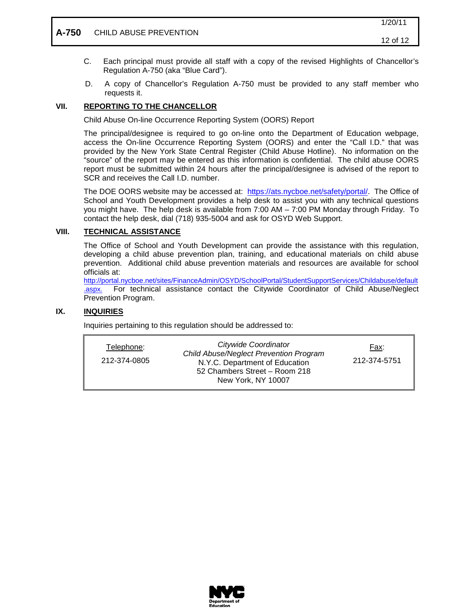## **A-750** CHILD ABUSE PREVENTION

- C. Each principal must provide all staff with a copy of the revised Highlights of Chancellor's Regulation A-750 (aka "Blue Card").
- D. A copy of Chancellor's Regulation A-750 must be provided to any staff member who requests it.

#### **VII. REPORTING TO THE CHANCELLOR**

Child Abuse On-line Occurrence Reporting System (OORS) Report

The principal/designee is required to go on-line onto the Department of Education webpage, access the On-line Occurrence Reporting System (OORS) and enter the "Call I.D." that was provided by the New York State Central Register (Child Abuse Hotline). No information on the "source" of the report may be entered as this information is confidential. The child abuse OORS report must be submitted within 24 hours after the principal/designee is advised of the report to SCR and receives the Call I.D. number.

The DOE OORS website may be accessed at: [https://ats.nycboe.net/safety/portal/.](https://ats.nycboe.net/safety/portal/) The Office of School and Youth Development provides a help desk to assist you with any technical questions you might have. The help desk is available from 7:00 AM – 7:00 PM Monday through Friday. To contact the help desk, dial (718) 935-5004 and ask for OSYD Web Support.

#### **VIII. TECHNICAL ASSISTANCE**

The Office of School and Youth Development can provide the assistance with this regulation, developing a child abuse prevention plan, training, and educational materials on child abuse prevention. Additional child abuse prevention materials and resources are available for school officials at:

[http://portal.nycboe.net/sites/FinanceAdmin/OSYD/SchoolPortal/StudentSupportServices/Childabuse/default](http://portal.nycboe.net/sites/FinanceAdmin/OSYD/SchoolPortal/StudentSupportServices/Childabuse/default.aspx.) [.aspx.](http://portal.nycboe.net/sites/FinanceAdmin/OSYD/SchoolPortal/StudentSupportServices/Childabuse/default.aspx.) For technical assistance contact the Citywide Coordinator of Child Abuse/Neglect Prevention Program.

#### **IX. INQUIRIES**

Inquiries pertaining to this regulation should be addressed to:

| Telephone:<br>212-374-0805 | Citywide Coordinator<br>Child Abuse/Neglect Prevention Program<br>N.Y.C. Department of Education<br>52 Chambers Street - Room 218<br>New York, NY 10007 | Fax:<br>212-374-5751 |
|----------------------------|---------------------------------------------------------------------------------------------------------------------------------------------------------|----------------------|
|----------------------------|---------------------------------------------------------------------------------------------------------------------------------------------------------|----------------------|

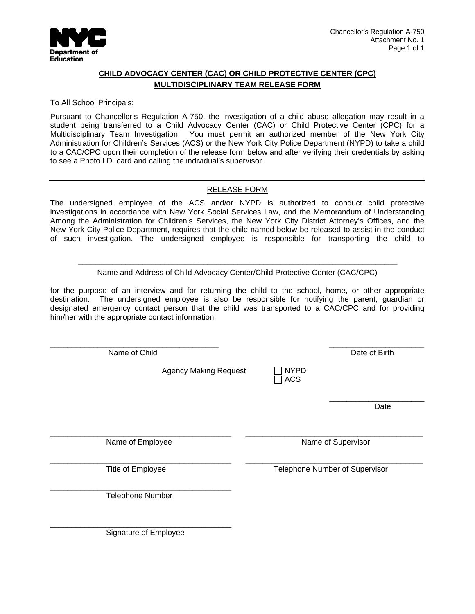

## **CHILD ADVOCACY CENTER (CAC) OR CHILD PROTECTIVE CENTER (CPC) MULTIDISCIPLINARY TEAM RELEASE FORM**

### To All School Principals:

Pursuant to Chancellor's Regulation A-750, the investigation of a child abuse allegation may result in a student being transferred to a Child Advocacy Center (CAC) or Child Protective Center (CPC) for a Multidisciplinary Team Investigation. You must permit an authorized member of the New York City Administration for Children's Services (ACS) or the New York City Police Department (NYPD) to take a child to a CAC/CPC upon their completion of the release form below and after verifying their credentials by asking to see a Photo I.D. card and calling the individual's supervisor.

## RELEASE FORM

The undersigned employee of the ACS and/or NYPD is authorized to conduct child protective investigations in accordance with New York Social Services Law, and the Memorandum of Understanding Among the Administration for Children's Services, the New York City District Attorney's Offices, and the New York City Police Department, requires that the child named below be released to assist in the conduct of such investigation. The undersigned employee is responsible for transporting the child to

Name and Address of Child Advocacy Center/Child Protective Center (CAC/CPC)

 $\mathcal{L}_\text{max} = \frac{1}{2} \frac{1}{2} \frac{1}{2} \frac{1}{2} \frac{1}{2} \frac{1}{2} \frac{1}{2} \frac{1}{2} \frac{1}{2} \frac{1}{2} \frac{1}{2} \frac{1}{2} \frac{1}{2} \frac{1}{2} \frac{1}{2} \frac{1}{2} \frac{1}{2} \frac{1}{2} \frac{1}{2} \frac{1}{2} \frac{1}{2} \frac{1}{2} \frac{1}{2} \frac{1}{2} \frac{1}{2} \frac{1}{2} \frac{1}{2} \frac{1}{2} \frac{1}{2} \frac{1}{$ 

for the purpose of an interview and for returning the child to the school, home, or other appropriate destination. The undersigned employee is also be responsible for notifying the parent, guardian or designated emergency contact person that the child was transported to a CAC/CPC and for providing him/her with the appropriate contact information.

| Name of Child                |                           | Date of Birth                  |
|------------------------------|---------------------------|--------------------------------|
| <b>Agency Making Request</b> | <b>NYPD</b><br><b>ACS</b> |                                |
|                              |                           | Date                           |
| Name of Employee             |                           | Name of Supervisor             |
| Title of Employee            |                           | Telephone Number of Supervisor |
| Telephone Number             |                           |                                |
| Signature of Employee        |                           |                                |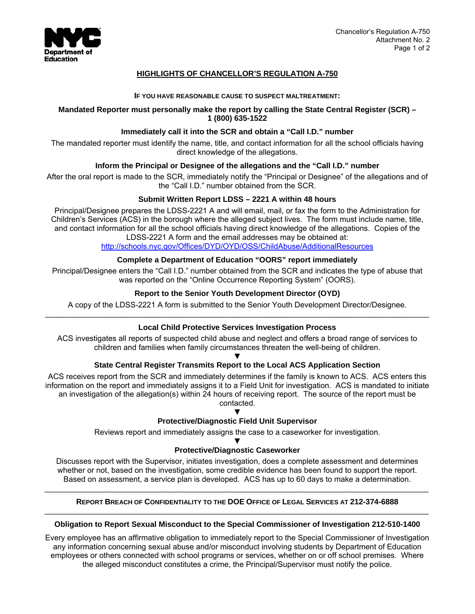

## **HIGHLIGHTS OF CHANCELLOR'S REGULATION A-750**

### **IF YOU HAVE REASONABLE CAUSE TO SUSPECT MALTREATMENT:**

### **Mandated Reporter must personally make the report by calling the State Central Register (SCR) – 1 (800) 635-1522**

### **Immediately call it into the SCR and obtain a "Call I.D." number**

The mandated reporter must identify the name, title, and contact information for all the school officials having direct knowledge of the allegations.

### **Inform the Principal or Designee of the allegations and the "Call I.D." number**

After the oral report is made to the SCR, immediately notify the "Principal or Designee" of the allegations and of the "Call I.D." number obtained from the SCR.

### **Submit Written Report LDSS – 2221 A within 48 hours**

Principal/Designee prepares the LDSS-2221 A and will email, mail, or fax the form to the Administration for Children's Services (ACS) in the borough where the alleged subject lives. The form must include name, title, and contact information for all the school officials having direct knowledge of the allegations. Copies of the LDSS-2221 A form and the email addresses may be obtained at:

http://schools.nyc.gov/Offices/DYD/OYD/OSS/ChildAbuse/AdditionalResources

## **Complete a Department of Education "OORS" report immediately**

Principal/Designee enters the "Call I.D." number obtained from the SCR and indicates the type of abuse that was reported on the "Online Occurrence Reporting System" (OORS).

### **Report to the Senior Youth Development Director (OYD)**

A copy of the LDSS-2221 A form is submitted to the Senior Youth Development Director/Designee. \_\_\_\_\_\_\_\_\_\_\_\_\_\_\_\_\_\_\_\_\_\_\_\_\_\_\_\_\_\_\_\_\_\_\_\_\_\_\_\_\_\_\_\_\_\_\_\_\_\_\_\_\_\_\_\_\_\_\_\_\_\_\_\_\_\_\_\_\_\_\_\_\_\_\_\_\_\_\_\_\_\_\_\_\_\_\_\_\_

### **Local Child Protective Services Investigation Process**

ACS investigates all reports of suspected child abuse and neglect and offers a broad range of services to children and families when family circumstances threaten the well-being of children.

### ▼ **State Central Register Transmits Report to the Local ACS Application Section**

ACS receives report from the SCR and immediately determines if the family is known to ACS. ACS enters this information on the report and immediately assigns it to a Field Unit for investigation. ACS is mandated to initiate an investigation of the allegation(s) within 24 hours of receiving report. The source of the report must be contacted.

### ▼ **Protective/Diagnostic Field Unit Supervisor**

Reviews report and immediately assigns the case to a caseworker for investigation.

### ▼ **Protective/Diagnostic Caseworker**

Discusses report with the Supervisor, initiates investigation, does a complete assessment and determines whether or not, based on the investigation, some credible evidence has been found to support the report. Based on assessment, a service plan is developed. ACS has up to 60 days to make a determination.

## $\_$  . The contribution of the contribution of the contribution of the contribution of the contribution of the contribution of the contribution of the contribution of the contribution of the contribution of the contributio **REPORT BREACH OF CONFIDENTIALITY TO THE DOE OFFICE OF LEGAL SERVICES AT 212-374-6888**   $\mathcal{L}_\mathcal{L} = \{ \mathcal{L}_\mathcal{L} = \{ \mathcal{L}_\mathcal{L} = \{ \mathcal{L}_\mathcal{L} = \{ \mathcal{L}_\mathcal{L} = \{ \mathcal{L}_\mathcal{L} = \{ \mathcal{L}_\mathcal{L} = \{ \mathcal{L}_\mathcal{L} = \{ \mathcal{L}_\mathcal{L} = \{ \mathcal{L}_\mathcal{L} = \{ \mathcal{L}_\mathcal{L} = \{ \mathcal{L}_\mathcal{L} = \{ \mathcal{L}_\mathcal{L} = \{ \mathcal{L}_\mathcal{L} = \{ \mathcal{L}_\mathcal{$

### **Obligation to Report Sexual Misconduct to the Special Commissioner of Investigation 212-510-1400**

Every employee has an affirmative obligation to immediately report to the Special Commissioner of Investigation any information concerning sexual abuse and/or misconduct involving students by Department of Education employees or others connected with school programs or services, whether on or off school premises. Where the alleged misconduct constitutes a crime, the Principal/Supervisor must notify the police.